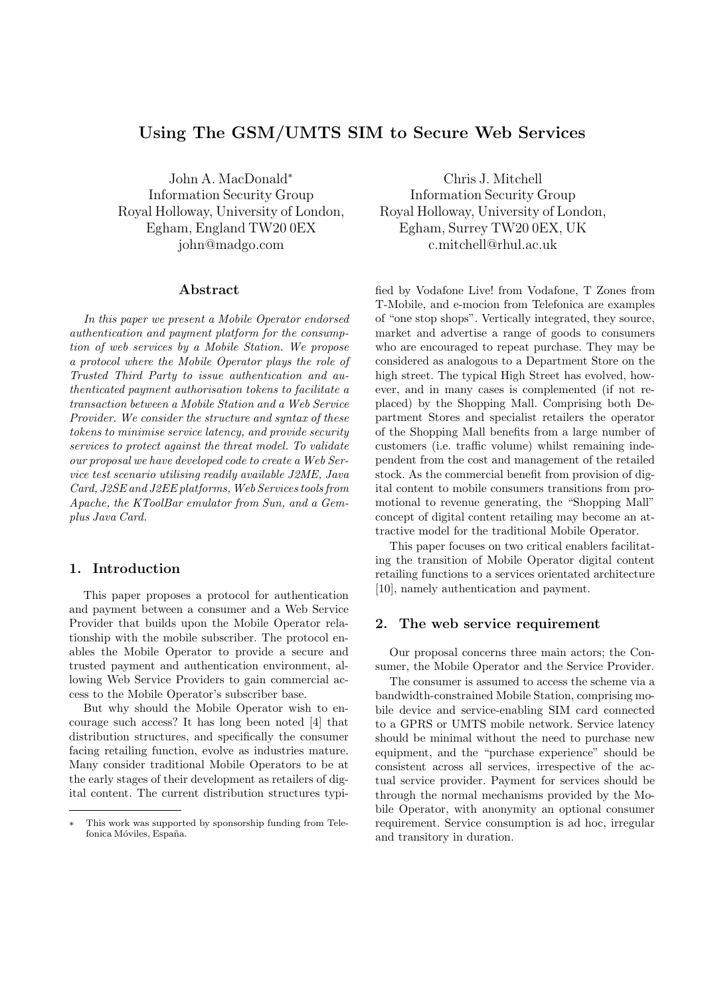# Using The GSM/UMTS SIM to Secure Web Services

John A. MacDonald<sup>∗</sup> Information Security Group Royal Holloway, University of London, Egham, England TW20 0EX john@madgo.com

#### Abstract

In this paper we present a Mobile Operator endorsed authentication and payment platform for the consumption of web services by a Mobile Station. We propose a protocol where the Mobile Operator plays the role of Trusted Third Party to issue authentication and authenticated payment authorisation tokens to facilitate a transaction between a Mobile Station and a Web Service Provider. We consider the structure and syntax of these tokens to minimise service latency, and provide security services to protect against the threat model. To validate our proposal we have developed code to create a Web Service test scenario utilising readily available J2ME, Java Card, J2SE and J2EE platforms, Web Services tools from Apache, the KToolBar emulator from Sun, and a Gemplus Java Card.

## 1. Introduction

This paper proposes a protocol for authentication and payment between a consumer and a Web Service Provider that builds upon the Mobile Operator relationship with the mobile subscriber. The protocol enables the Mobile Operator to provide a secure and trusted payment and authentication environment, allowing Web Service Providers to gain commercial access to the Mobile Operator's subscriber base.

But why should the Mobile Operator wish to encourage such access? It has long been noted [4] that distribution structures, and specifically the consumer facing retailing function, evolve as industries mature. Many consider traditional Mobile Operators to be at the early stages of their development as retailers of digital content. The current distribution structures typi-

Chris J. Mitchell Information Security Group Royal Holloway, University of London, Egham, Surrey TW20 0EX, UK c.mitchell@rhul.ac.uk

fied by Vodafone Live! from Vodafone, T Zones from T-Mobile, and e-mocion from Telefonica are examples of "one stop shops". Vertically integrated, they source, market and advertise a range of goods to consumers who are encouraged to repeat purchase. They may be considered as analogous to a Department Store on the high street. The typical High Street has evolved, however, and in many cases is complemented (if not replaced) by the Shopping Mall. Comprising both Department Stores and specialist retailers the operator of the Shopping Mall benefits from a large number of customers (i.e. traffic volume) whilst remaining independent from the cost and management of the retailed stock. As the commercial benefit from provision of digital content to mobile consumers transitions from promotional to revenue generating, the "Shopping Mall" concept of digital content retailing may become an attractive model for the traditional Mobile Operator.

This paper focuses on two critical enablers facilitating the transition of Mobile Operator digital content retailing functions to a services orientated architecture [10], namely authentication and payment.

## 2. The web service requirement

Our proposal concerns three main actors; the Consumer, the Mobile Operator and the Service Provider.

The consumer is assumed to access the scheme via a bandwidth-constrained Mobile Station, comprising mobile device and service-enabling SIM card connected to a GPRS or UMTS mobile network. Service latency should be minimal without the need to purchase new equipment, and the "purchase experience" should be consistent across all services, irrespective of the actual service provider. Payment for services should be through the normal mechanisms provided by the Mobile Operator, with anonymity an optional consumer requirement. Service consumption is ad hoc, irregular and transitory in duration.

This work was supported by sponsorship funding from Telefonica Móviles, España.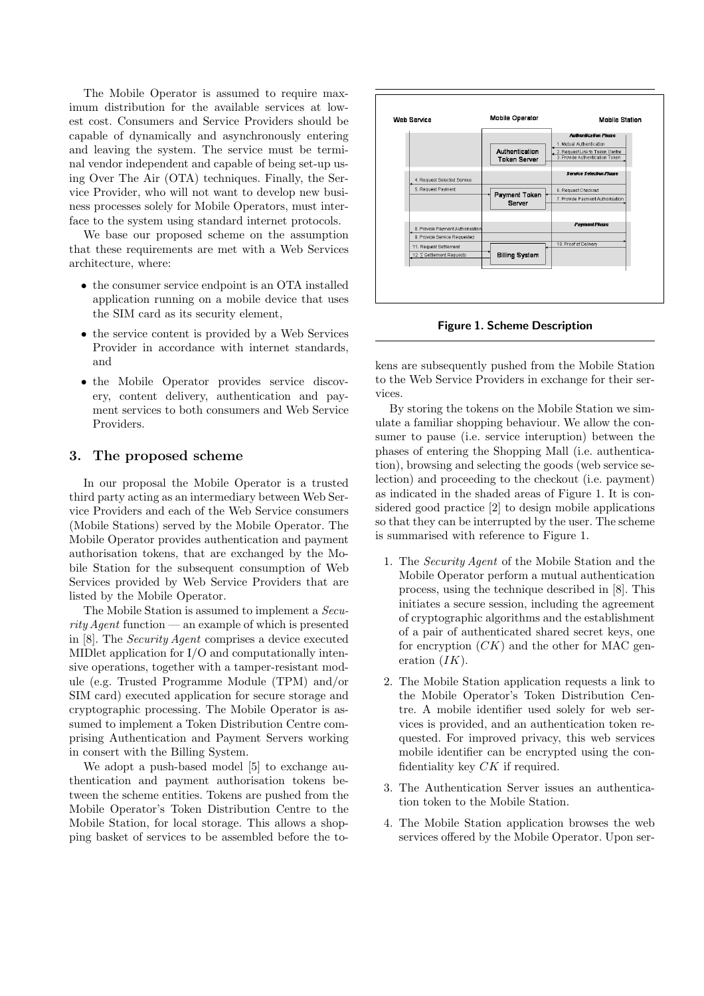The Mobile Operator is assumed to require maximum distribution for the available services at lowest cost. Consumers and Service Providers should be capable of dynamically and asynchronously entering and leaving the system. The service must be terminal vendor independent and capable of being set-up using Over The Air (OTA) techniques. Finally, the Service Provider, who will not want to develop new business processes solely for Mobile Operators, must interface to the system using standard internet protocols.

We base our proposed scheme on the assumption that these requirements are met with a Web Services architecture, where:

- the consumer service endpoint is an OTA installed application running on a mobile device that uses the SIM card as its security element,
- the service content is provided by a Web Services Provider in accordance with internet standards, and
- the Mobile Operator provides service discovery, content delivery, authentication and payment services to both consumers and Web Service Providers.

## 3. The proposed scheme

In our proposal the Mobile Operator is a trusted third party acting as an intermediary between Web Service Providers and each of the Web Service consumers (Mobile Stations) served by the Mobile Operator. The Mobile Operator provides authentication and payment authorisation tokens, that are exchanged by the Mobile Station for the subsequent consumption of Web Services provided by Web Service Providers that are listed by the Mobile Operator.

The Mobile Station is assumed to implement a Security Agent function — an example of which is presented in [8]. The Security Agent comprises a device executed MIDlet application for I/O and computationally intensive operations, together with a tamper-resistant module (e.g. Trusted Programme Module (TPM) and/or SIM card) executed application for secure storage and cryptographic processing. The Mobile Operator is assumed to implement a Token Distribution Centre comprising Authentication and Payment Servers working in consert with the Billing System.

We adopt a push-based model [5] to exchange authentication and payment authorisation tokens between the scheme entities. Tokens are pushed from the Mobile Operator's Token Distribution Centre to the Mobile Station, for local storage. This allows a shopping basket of services to be assembled before the to-



Figure 1. Scheme Description

kens are subsequently pushed from the Mobile Station to the Web Service Providers in exchange for their services.

By storing the tokens on the Mobile Station we simulate a familiar shopping behaviour. We allow the consumer to pause (i.e. service interuption) between the phases of entering the Shopping Mall (i.e. authentication), browsing and selecting the goods (web service selection) and proceeding to the checkout (i.e. payment) as indicated in the shaded areas of Figure 1. It is considered good practice [2] to design mobile applications so that they can be interrupted by the user. The scheme is summarised with reference to Figure 1.

- 1. The Security Agent of the Mobile Station and the Mobile Operator perform a mutual authentication process, using the technique described in [8]. This initiates a secure session, including the agreement of cryptographic algorithms and the establishment of a pair of authenticated shared secret keys, one for encryption  $(CK)$  and the other for MAC generation  $(IK)$ .
- 2. The Mobile Station application requests a link to the Mobile Operator's Token Distribution Centre. A mobile identifier used solely for web services is provided, and an authentication token requested. For improved privacy, this web services mobile identifier can be encrypted using the confidentiality key  $CK$  if required.
- 3. The Authentication Server issues an authentication token to the Mobile Station.
- 4. The Mobile Station application browses the web services offered by the Mobile Operator. Upon ser-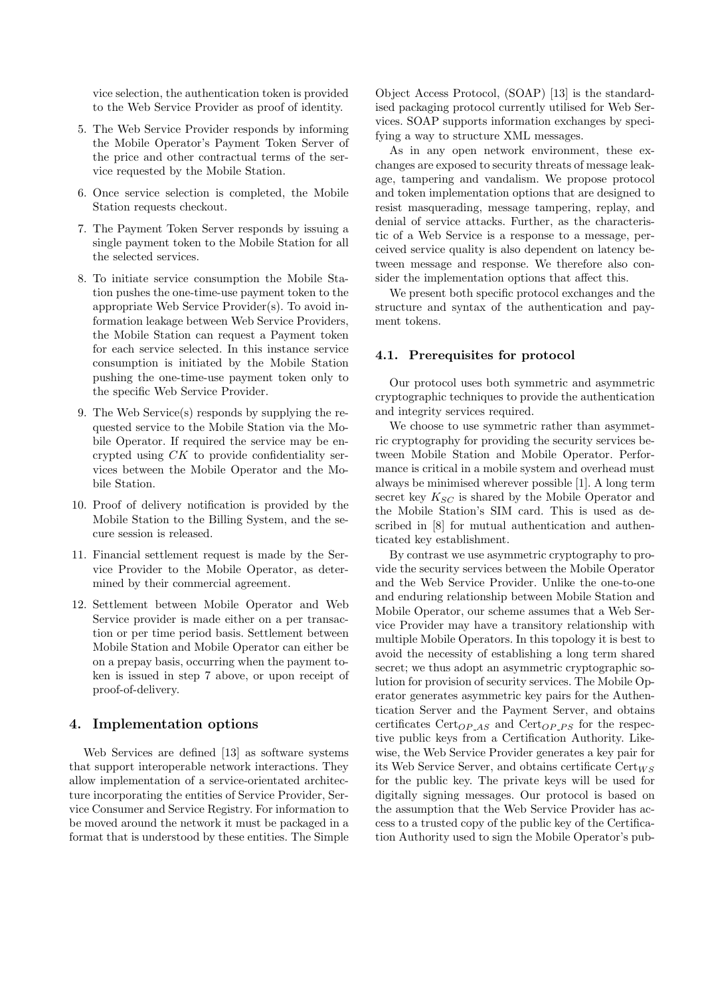vice selection, the authentication token is provided to the Web Service Provider as proof of identity.

- 5. The Web Service Provider responds by informing the Mobile Operator's Payment Token Server of the price and other contractual terms of the service requested by the Mobile Station.
- 6. Once service selection is completed, the Mobile Station requests checkout.
- 7. The Payment Token Server responds by issuing a single payment token to the Mobile Station for all the selected services.
- 8. To initiate service consumption the Mobile Station pushes the one-time-use payment token to the appropriate Web Service Provider(s). To avoid information leakage between Web Service Providers, the Mobile Station can request a Payment token for each service selected. In this instance service consumption is initiated by the Mobile Station pushing the one-time-use payment token only to the specific Web Service Provider.
- 9. The Web Service(s) responds by supplying the requested service to the Mobile Station via the Mobile Operator. If required the service may be encrypted using CK to provide confidentiality services between the Mobile Operator and the Mobile Station.
- 10. Proof of delivery notification is provided by the Mobile Station to the Billing System, and the secure session is released.
- 11. Financial settlement request is made by the Service Provider to the Mobile Operator, as determined by their commercial agreement.
- 12. Settlement between Mobile Operator and Web Service provider is made either on a per transaction or per time period basis. Settlement between Mobile Station and Mobile Operator can either be on a prepay basis, occurring when the payment token is issued in step 7 above, or upon receipt of proof-of-delivery.

#### 4. Implementation options

Web Services are defined [13] as software systems that support interoperable network interactions. They allow implementation of a service-orientated architecture incorporating the entities of Service Provider, Service Consumer and Service Registry. For information to be moved around the network it must be packaged in a format that is understood by these entities. The Simple Object Access Protocol, (SOAP) [13] is the standardised packaging protocol currently utilised for Web Services. SOAP supports information exchanges by specifying a way to structure XML messages.

As in any open network environment, these exchanges are exposed to security threats of message leakage, tampering and vandalism. We propose protocol and token implementation options that are designed to resist masquerading, message tampering, replay, and denial of service attacks. Further, as the characteristic of a Web Service is a response to a message, perceived service quality is also dependent on latency between message and response. We therefore also consider the implementation options that affect this.

We present both specific protocol exchanges and the structure and syntax of the authentication and payment tokens.

#### 4.1. Prerequisites for protocol

Our protocol uses both symmetric and asymmetric cryptographic techniques to provide the authentication and integrity services required.

We choose to use symmetric rather than asymmetric cryptography for providing the security services between Mobile Station and Mobile Operator. Performance is critical in a mobile system and overhead must always be minimised wherever possible [1]. A long term secret key  $K_{SC}$  is shared by the Mobile Operator and the Mobile Station's SIM card. This is used as described in [8] for mutual authentication and authenticated key establishment.

By contrast we use asymmetric cryptography to provide the security services between the Mobile Operator and the Web Service Provider. Unlike the one-to-one and enduring relationship between Mobile Station and Mobile Operator, our scheme assumes that a Web Service Provider may have a transitory relationship with multiple Mobile Operators. In this topology it is best to avoid the necessity of establishing a long term shared secret; we thus adopt an asymmetric cryptographic solution for provision of security services. The Mobile Operator generates asymmetric key pairs for the Authentication Server and the Payment Server, and obtains certificates  $Cert_{OP\_AS}$  and  $Cert_{OP\_PS}$  for the respective public keys from a Certification Authority. Likewise, the Web Service Provider generates a key pair for its Web Service Server, and obtains certificate  $Cent_{WS}$ for the public key. The private keys will be used for digitally signing messages. Our protocol is based on the assumption that the Web Service Provider has access to a trusted copy of the public key of the Certification Authority used to sign the Mobile Operator's pub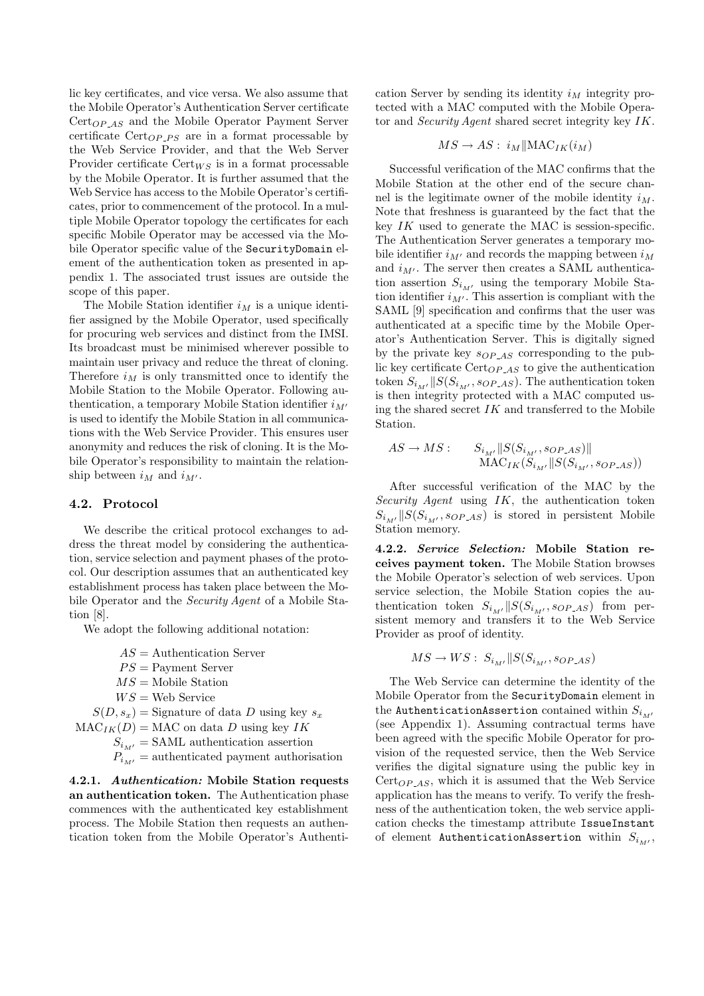lic key certificates, and vice versa. We also assume that the Mobile Operator's Authentication Server certificate  $Cert_{OP\_\!AS}$  and the Mobile Operator Payment Server certificate  $Cert_{OP\_PS}$  are in a format processable by the Web Service Provider, and that the Web Server Provider certificate  $Cent_{WS}$  is in a format processable by the Mobile Operator. It is further assumed that the Web Service has access to the Mobile Operator's certificates, prior to commencement of the protocol. In a multiple Mobile Operator topology the certificates for each specific Mobile Operator may be accessed via the Mobile Operator specific value of the SecurityDomain element of the authentication token as presented in appendix 1. The associated trust issues are outside the scope of this paper.

The Mobile Station identifier  $i_M$  is a unique identifier assigned by the Mobile Operator, used specifically for procuring web services and distinct from the IMSI. Its broadcast must be minimised wherever possible to maintain user privacy and reduce the threat of cloning. Therefore  $i_M$  is only transmitted once to identify the Mobile Station to the Mobile Operator. Following authentication, a temporary Mobile Station identifier  $i_{M}$ is used to identify the Mobile Station in all communications with the Web Service Provider. This ensures user anonymity and reduces the risk of cloning. It is the Mobile Operator's responsibility to maintain the relationship between  $i_M$  and  $i_{M'}$ .

#### 4.2. Protocol

We describe the critical protocol exchanges to address the threat model by considering the authentication, service selection and payment phases of the protocol. Our description assumes that an authenticated key establishment process has taken place between the Mobile Operator and the Security Agent of a Mobile Station [8].

We adopt the following additional notation:

 $AS =$  Authentication Server  $PS =$  Payment Server  $MS =$ Mobile Station  $WS =$  Web Service  $S(D, s_x) =$ Signature of data D using key  $s_x$  $MAC_{IK}(D) = MAC$  on data D using key IK  $S_{i_M}$  = SAML authentication assertion

 $P_{i_M}$  = authenticated payment authorisation

4.2.1. Authentication: Mobile Station requests an authentication token. The Authentication phase commences with the authenticated key establishment process. The Mobile Station then requests an authentication token from the Mobile Operator's Authentication Server by sending its identity  $i_M$  integrity protected with a MAC computed with the Mobile Operator and Security Agent shared secret integrity key IK.

$$
MS \to AS: i_M \|\text{MAC}_{IK}(i_M)
$$

Successful verification of the MAC confirms that the Mobile Station at the other end of the secure channel is the legitimate owner of the mobile identity  $i_M$ . Note that freshness is guaranteed by the fact that the key  $IK$  used to generate the MAC is session-specific. The Authentication Server generates a temporary mobile identifier  $i_{M'}$  and records the mapping between  $i_M$ and  $i_{M'}$ . The server then creates a SAML authentication assertion  $S_{i_M}$ , using the temporary Mobile Station identifier  $i_{M'}$ . This assertion is compliant with the SAML [9] specification and confirms that the user was authenticated at a specific time by the Mobile Operator's Authentication Server. This is digitally signed by the private key  $s_{OP\_AS}$  corresponding to the public key certificate  $Cert_{OP\_AS}$  to give the authentication token  $S_{i_{M'}}$   $||S(S_{i_{M'}}, s_{OP \_AS})$ . The authentication token is then integrity protected with a MAC computed using the shared secret  $IK$  and transferred to the Mobile Station.

$$
AS \to MS: \tS_{i_{M'}} ||S(S_{i_{M'}}, s_{OP \_AS})||
$$
  

$$
MAC_{IK}(S_{i_{M'}} ||S(S_{i_{M'}}, s_{OP \_AS}))
$$

After successful verification of the MAC by the Security Agent using  $IK$ , the authentication token  $S_{i_{M'}}$   $||S(S_{i_{M'}}, s_{OP} A_S)||$  is stored in persistent Mobile Station memory.

4.2.2. Service Selection: Mobile Station receives payment token. The Mobile Station browses the Mobile Operator's selection of web services. Upon service selection, the Mobile Station copies the authentication token  $S_{i_{M'}}$   $||S(S_{i_{M'}}, s_{OPAS})$  from persistent memory and transfers it to the Web Service Provider as proof of identity.

$$
MS \rightarrow WS: S_{i_{M'}} || S(S_{i_{M'}}, s_{OP \_AS})
$$

The Web Service can determine the identity of the Mobile Operator from the SecurityDomain element in the AuthenticationAssertion contained within  $S_{i_M}$ (see Appendix 1). Assuming contractual terms have been agreed with the specific Mobile Operator for provision of the requested service, then the Web Service verifies the digital signature using the public key in  $Cert_{OP\_\!AS}$ , which it is assumed that the Web Service application has the means to verify. To verify the freshness of the authentication token, the web service application checks the timestamp attribute IssueInstant of element AuthenticationAssertion within  $S_{i_{M'}}$ ,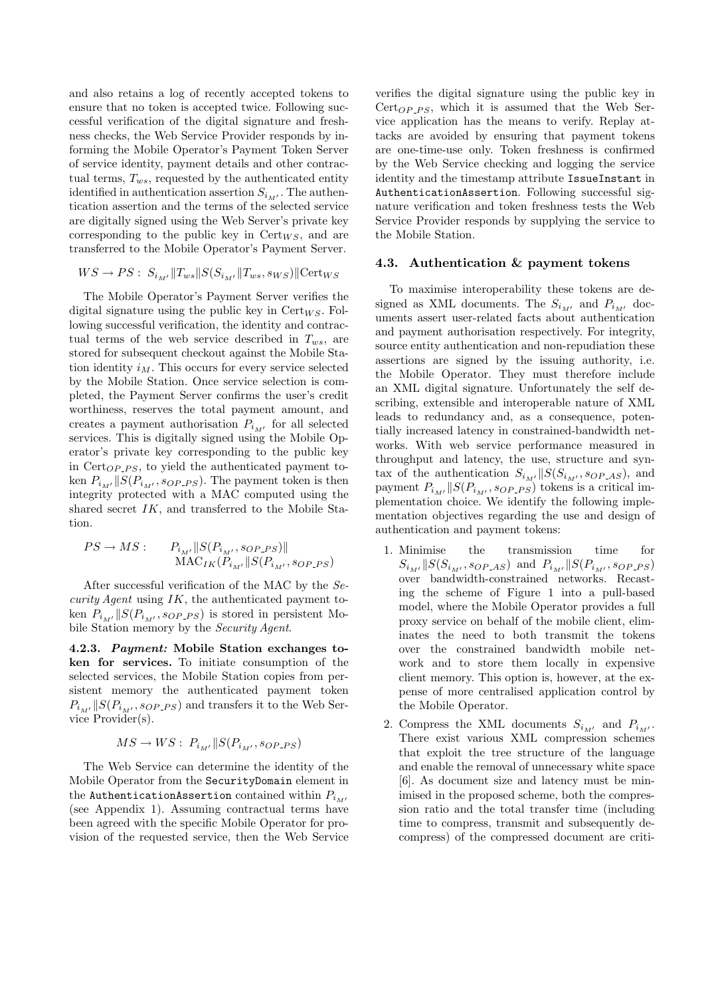and also retains a log of recently accepted tokens to ensure that no token is accepted twice. Following successful verification of the digital signature and freshness checks, the Web Service Provider responds by informing the Mobile Operator's Payment Token Server of service identity, payment details and other contractual terms,  $T_{ws}$ , requested by the authenticated entity identified in authentication assertion  $S_{i_M}$ . The authentication assertion and the terms of the selected service are digitally signed using the Web Server's private key corresponding to the public key in  $Cert_{WS}$ , and are transferred to the Mobile Operator's Payment Server.

$$
WS \to PS: S_{i_M}
$$
,  $||T_{ws}||S(S_{i_{M'}}||T_{ws}, s_{WS})||$ Cert<sub>WS</sub>

The Mobile Operator's Payment Server verifies the digital signature using the public key in  $Cert_{WS}$ . Following successful verification, the identity and contractual terms of the web service described in  $T_{ws}$ , are stored for subsequent checkout against the Mobile Station identity  $i_M$ . This occurs for every service selected by the Mobile Station. Once service selection is completed, the Payment Server confirms the user's credit worthiness, reserves the total payment amount, and creates a payment authorisation  $P_{i_M}$  for all selected services. This is digitally signed using the Mobile Operator's private key corresponding to the public key in Cert<sub>OP-PS</sub>, to yield the authenticated payment token  $P_{i_{M'}} || S(P_{i_{M'}}, s_{OP\_PS})$ . The payment token is then integrity protected with a MAC computed using the shared secret IK, and transferred to the Mobile Station.

$$
PS \to MS: \tP_{i_{M'}} ||S(P_{i_{M'}}, s_{OP-PS})||
$$
  

$$
MAC_{IK}(P_{i_{M'}} ||S(P_{i_{M'}}, s_{OP-PS})
$$

After successful verification of the MAC by the Security Agent using  $IK$ , the authenticated payment token  $P_{i_{M'}} || S(P_{i_{M'}}, s_{OP\_PS})$  is stored in persistent Mobile Station memory by the Security Agent.

4.2.3. Payment: Mobile Station exchanges token for services. To initiate consumption of the selected services, the Mobile Station copies from persistent memory the authenticated payment token  $P_{i_{M'}} || S(P_{i_{M'}}, s_{OP\_PS})$  and transfers it to the Web Service Provider(s).

$$
MS \rightarrow WS: \ P_{i_{M'}} || S(P_{i_{M'}}, s_{OP\_PS})
$$

The Web Service can determine the identity of the Mobile Operator from the SecurityDomain element in the AuthenticationAssertion contained within  $P_{i_M}$ (see Appendix 1). Assuming contractual terms have been agreed with the specific Mobile Operator for provision of the requested service, then the Web Service

verifies the digital signature using the public key in  $Cert_{OP-PS}$ , which it is assumed that the Web Service application has the means to verify. Replay attacks are avoided by ensuring that payment tokens are one-time-use only. Token freshness is confirmed by the Web Service checking and logging the service identity and the timestamp attribute IssueInstant in AuthenticationAssertion. Following successful signature verification and token freshness tests the Web Service Provider responds by supplying the service to the Mobile Station.

#### 4.3. Authentication & payment tokens

To maximise interoperability these tokens are designed as XML documents. The  $S_{i_M}$  and  $P_{i_M}$  documents assert user-related facts about authentication and payment authorisation respectively. For integrity, source entity authentication and non-repudiation these assertions are signed by the issuing authority, i.e. the Mobile Operator. They must therefore include an XML digital signature. Unfortunately the self describing, extensible and interoperable nature of XML leads to redundancy and, as a consequence, potentially increased latency in constrained-bandwidth networks. With web service performance measured in throughput and latency, the use, structure and syntax of the authentication  $S_{i_{M'}} || S(S_{i_{M'}} , s_{OP \_AS})$ , and payment  $P_{i_{M'}} || S(P_{i_{M'}}, s_{OP\_PS})$  tokens is a critical implementation choice. We identify the following implementation objectives regarding the use and design of authentication and payment tokens:

- 1. Minimise the transmission time for  $S_{i_{M'}} || S(S_{i_{M'}}, s_{OP} A_S)$  and  $P_{i_{M'}} || S(P_{i_{M'}}, s_{OP} B_S)$ over bandwidth-constrained networks. Recasting the scheme of Figure 1 into a pull-based model, where the Mobile Operator provides a full proxy service on behalf of the mobile client, eliminates the need to both transmit the tokens over the constrained bandwidth mobile network and to store them locally in expensive client memory. This option is, however, at the expense of more centralised application control by the Mobile Operator.
- 2. Compress the XML documents  $S_{i_{M'}}$  and  $P_{i_{M'}}$ . There exist various XML compression schemes that exploit the tree structure of the language and enable the removal of unnecessary white space [6]. As document size and latency must be minimised in the proposed scheme, both the compression ratio and the total transfer time (including time to compress, transmit and subsequently decompress) of the compressed document are criti-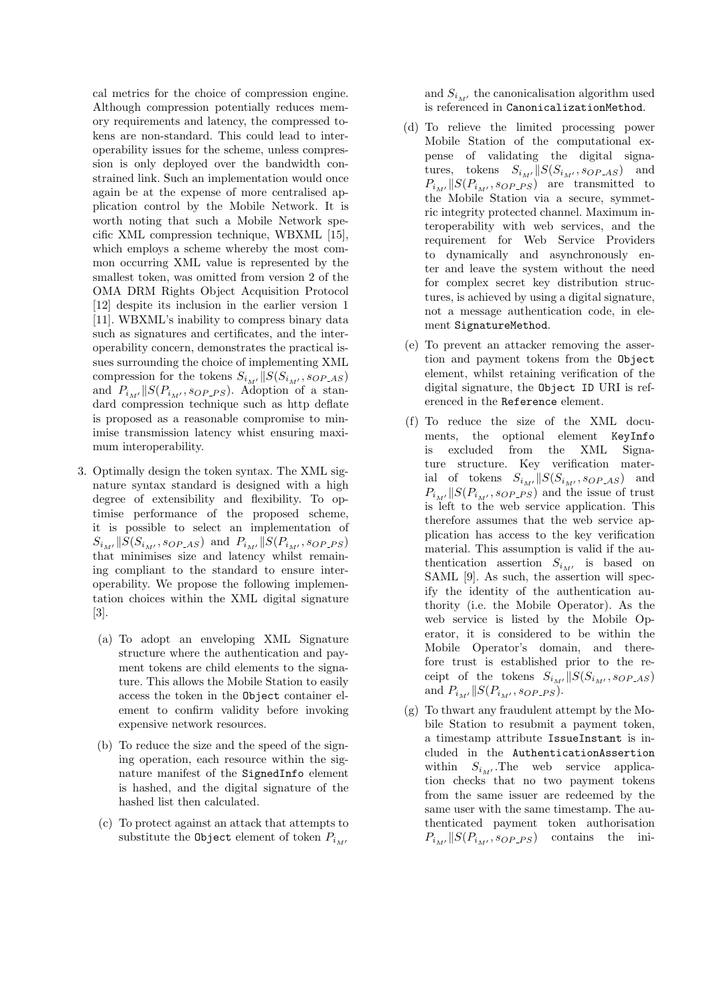cal metrics for the choice of compression engine. Although compression potentially reduces memory requirements and latency, the compressed tokens are non-standard. This could lead to interoperability issues for the scheme, unless compression is only deployed over the bandwidth constrained link. Such an implementation would once again be at the expense of more centralised application control by the Mobile Network. It is worth noting that such a Mobile Network specific XML compression technique, WBXML [15], which employs a scheme whereby the most common occurring XML value is represented by the smallest token, was omitted from version 2 of the OMA DRM Rights Object Acquisition Protocol [12] despite its inclusion in the earlier version 1 [11]. WBXML's inability to compress binary data such as signatures and certificates, and the interoperability concern, demonstrates the practical issues surrounding the choice of implementing XML compression for the tokens  $S_{i_{M'}} || S(S_{i_{M'}}, s_{OPAS})$ and  $P_{i_{M'}} || S(P_{i_{M'}}, s_{OP, PS})$ . Adoption of a standard compression technique such as http deflate is proposed as a reasonable compromise to minimise transmission latency whist ensuring maximum interoperability.

- 3. Optimally design the token syntax. The XML signature syntax standard is designed with a high degree of extensibility and flexibility. To optimise performance of the proposed scheme, it is possible to select an implementation of  $S_{i_{M'}} || S(S_{i_{M'}}, s_{OP} A S)$  and  $P_{i_{M'}} || S(P_{i_{M'}}, s_{OP} B S)$ that minimises size and latency whilst remaining compliant to the standard to ensure interoperability. We propose the following implementation choices within the XML digital signature [3].
	- (a) To adopt an enveloping XML Signature structure where the authentication and payment tokens are child elements to the signature. This allows the Mobile Station to easily access the token in the Object container element to confirm validity before invoking expensive network resources.
	- (b) To reduce the size and the speed of the signing operation, each resource within the signature manifest of the SignedInfo element is hashed, and the digital signature of the hashed list then calculated.
	- (c) To protect against an attack that attempts to substitute the Object element of token  $P_{i_M}$

and  $S_{i_M}$ , the canonicalisation algorithm used is referenced in CanonicalizationMethod.

- (d) To relieve the limited processing power Mobile Station of the computational expense of validating the digital signatures, tokens  $S_{i_{M'}}$   $||S(S_{i_{M'}}, s_{OP} A S)||$  and  $P_{i_{M'}} || S(P_{i_{M'}}, s_{OP\_PS})$  are transmitted to the Mobile Station via a secure, symmetric integrity protected channel. Maximum interoperability with web services, and the requirement for Web Service Providers to dynamically and asynchronously enter and leave the system without the need for complex secret key distribution structures, is achieved by using a digital signature, not a message authentication code, in element SignatureMethod.
- (e) To prevent an attacker removing the assertion and payment tokens from the Object element, whilst retaining verification of the digital signature, the Object ID URI is referenced in the Reference element.
- (f) To reduce the size of the XML documents, the optional element KeyInfo is excluded from the XML Signature structure. Key verification material of tokens  $S_{i_{M'}}$   $||S(S_{i_{M'}}, s_{OPAS})$  and  $P_{i_{M'}} || S(P_{i_{M'}}, s_{OP\_PS})$  and the issue of trust is left to the web service application. This therefore assumes that the web service application has access to the key verification material. This assumption is valid if the authentication assertion  $S_{i_{M'}}$  is based on SAML [9]. As such, the assertion will specify the identity of the authentication authority (i.e. the Mobile Operator). As the web service is listed by the Mobile Operator, it is considered to be within the Mobile Operator's domain, and therefore trust is established prior to the receipt of the tokens  $S_{i_{M'}} || S(S_{i_{M'}}, s_{OP} A s)$ and  $P_{i_{M'}} || S(P_{i_{M'}}, s_{OP,PS}).$
- (g) To thwart any fraudulent attempt by the Mobile Station to resubmit a payment token, a timestamp attribute IssueInstant is included in the AuthenticationAssertion within  $S_{i_{M'}}$ . The web service application checks that no two payment tokens from the same issuer are redeemed by the same user with the same timestamp. The authenticated payment token authorisation  $P_{i_{M'}} || S(P_{i_{M'}}, s_{OP\_PS})$  contains the ini-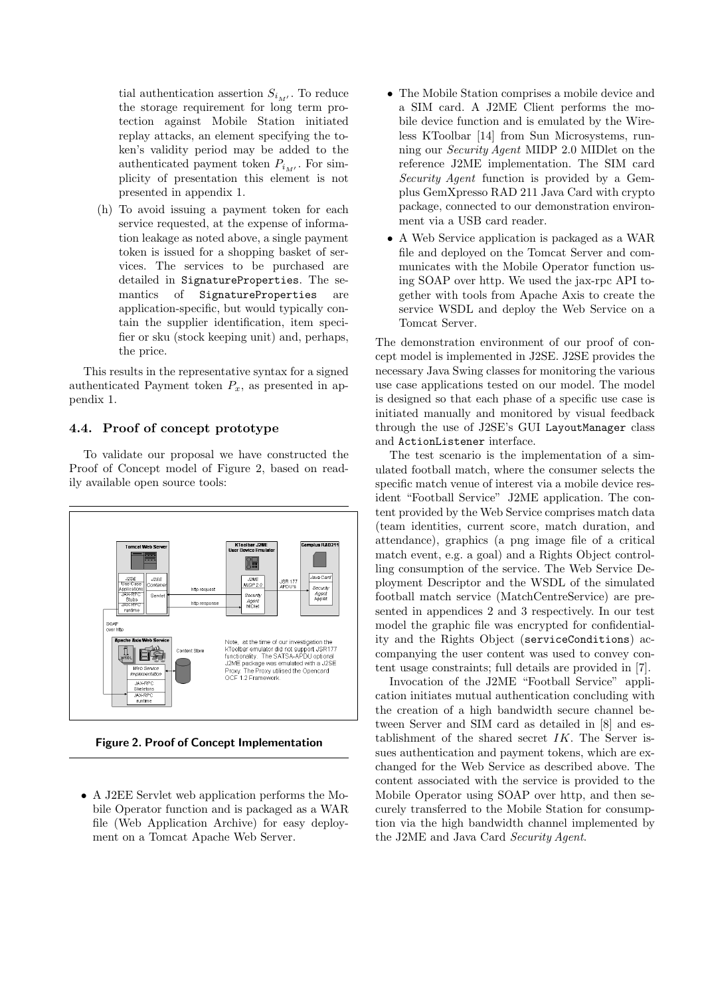tial authentication assertion  $S_{i_{M'}}$ . To reduce the storage requirement for long term protection against Mobile Station initiated replay attacks, an element specifying the token's validity period may be added to the authenticated payment token  $P_{i_M}$ . For simplicity of presentation this element is not presented in appendix 1.

(h) To avoid issuing a payment token for each service requested, at the expense of information leakage as noted above, a single payment token is issued for a shopping basket of services. The services to be purchased are detailed in SignatureProperties. The semantics of SignatureProperties are application-specific, but would typically contain the supplier identification, item specifier or sku (stock keeping unit) and, perhaps, the price.

This results in the representative syntax for a signed authenticated Payment token  $P_x$ , as presented in appendix 1.

## 4.4. Proof of concept prototype

To validate our proposal we have constructed the Proof of Concept model of Figure 2, based on readily available open source tools:



Figure 2. Proof of Concept Implementation

• A J2EE Servlet web application performs the Mobile Operator function and is packaged as a WAR file (Web Application Archive) for easy deployment on a Tomcat Apache Web Server.

- The Mobile Station comprises a mobile device and a SIM card. A J2ME Client performs the mobile device function and is emulated by the Wireless KToolbar [14] from Sun Microsystems, running our Security Agent MIDP 2.0 MIDlet on the reference J2ME implementation. The SIM card Security Agent function is provided by a Gemplus GemXpresso RAD 211 Java Card with crypto package, connected to our demonstration environment via a USB card reader.
- A Web Service application is packaged as a WAR file and deployed on the Tomcat Server and communicates with the Mobile Operator function using SOAP over http. We used the jax-rpc API together with tools from Apache Axis to create the service WSDL and deploy the Web Service on a Tomcat Server.

The demonstration environment of our proof of concept model is implemented in J2SE. J2SE provides the necessary Java Swing classes for monitoring the various use case applications tested on our model. The model is designed so that each phase of a specific use case is initiated manually and monitored by visual feedback through the use of J2SE's GUI LayoutManager class and ActionListener interface.

The test scenario is the implementation of a simulated football match, where the consumer selects the specific match venue of interest via a mobile device resident "Football Service" J2ME application. The content provided by the Web Service comprises match data (team identities, current score, match duration, and attendance), graphics (a png image file of a critical match event, e.g. a goal) and a Rights Object controlling consumption of the service. The Web Service Deployment Descriptor and the WSDL of the simulated football match service (MatchCentreService) are presented in appendices 2 and 3 respectively. In our test model the graphic file was encrypted for confidentiality and the Rights Object (serviceConditions) accompanying the user content was used to convey content usage constraints; full details are provided in [7].

Invocation of the J2ME "Football Service" application initiates mutual authentication concluding with the creation of a high bandwidth secure channel between Server and SIM card as detailed in [8] and establishment of the shared secret  $IK$ . The Server issues authentication and payment tokens, which are exchanged for the Web Service as described above. The content associated with the service is provided to the Mobile Operator using SOAP over http, and then securely transferred to the Mobile Station for consumption via the high bandwidth channel implemented by the J2ME and Java Card Security Agent.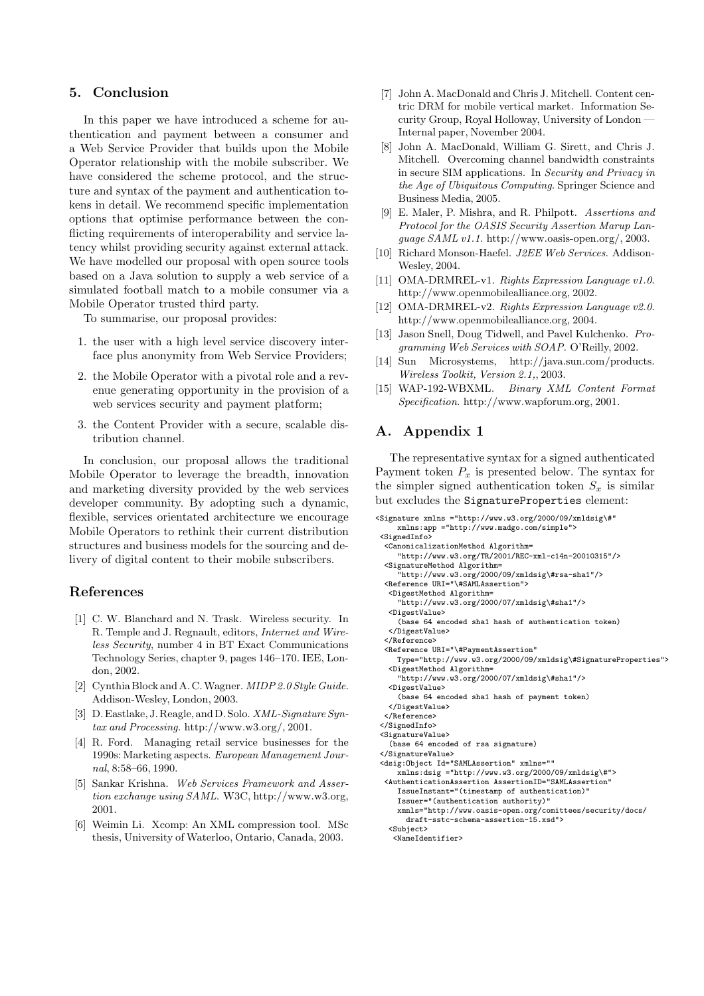## 5. Conclusion

In this paper we have introduced a scheme for authentication and payment between a consumer and a Web Service Provider that builds upon the Mobile Operator relationship with the mobile subscriber. We have considered the scheme protocol, and the structure and syntax of the payment and authentication tokens in detail. We recommend specific implementation options that optimise performance between the conflicting requirements of interoperability and service latency whilst providing security against external attack. We have modelled our proposal with open source tools based on a Java solution to supply a web service of a simulated football match to a mobile consumer via a Mobile Operator trusted third party.

To summarise, our proposal provides:

- 1. the user with a high level service discovery interface plus anonymity from Web Service Providers;
- 2. the Mobile Operator with a pivotal role and a revenue generating opportunity in the provision of a web services security and payment platform;
- 3. the Content Provider with a secure, scalable distribution channel.

In conclusion, our proposal allows the traditional Mobile Operator to leverage the breadth, innovation and marketing diversity provided by the web services developer community. By adopting such a dynamic, flexible, services orientated architecture we encourage Mobile Operators to rethink their current distribution structures and business models for the sourcing and delivery of digital content to their mobile subscribers.

## References

- [1] C. W. Blanchard and N. Trask. Wireless security. In R. Temple and J. Regnault, editors, Internet and Wireless Security, number 4 in BT Exact Communications Technology Series, chapter 9, pages 146–170. IEE, London, 2002.
- [2] Cynthia Block and A. C. Wagner. MIDP 2.0 Style Guide. Addison-Wesley, London, 2003.
- [3] D. Eastlake, J. Reagle, and D. Solo. XML-Signature Syntax and Processing. http://www.w3.org/, 2001.
- [4] R. Ford. Managing retail service businesses for the 1990s: Marketing aspects. European Management Journal, 8:58–66, 1990.
- [5] Sankar Krishna. Web Services Framework and Assertion exchange using SAML. W3C, http://www.w3.org, 2001.
- [6] Weimin Li. Xcomp: An XML compression tool. MSc thesis, University of Waterloo, Ontario, Canada, 2003.
- [7] John A. MacDonald and Chris J. Mitchell. Content centric DRM for mobile vertical market. Information Security Group, Royal Holloway, University of London — Internal paper, November 2004.
- [8] John A. MacDonald, William G. Sirett, and Chris J. Mitchell. Overcoming channel bandwidth constraints in secure SIM applications. In Security and Privacy in the Age of Ubiquitous Computing. Springer Science and Business Media, 2005.
- [9] E. Maler, P. Mishra, and R. Philpott. Assertions and Protocol for the OASIS Security Assertion Marup Language SAML v1.1. http://www.oasis-open.org/, 2003.
- [10] Richard Monson-Haefel. J2EE Web Services. Addison-Wesley, 2004.
- [11] OMA-DRMREL-v1. Rights Expression Language v1.0. http://www.openmobilealliance.org, 2002.
- [12] OMA-DRMREL-v2. Rights Expression Language v2.0. http://www.openmobilealliance.org, 2004.
- [13] Jason Snell, Doug Tidwell, and Pavel Kulchenko. Programming Web Services with SOAP. O'Reilly, 2002.
- [14] Sun Microsystems, http://java.sun.com/products. Wireless Toolkit, Version 2.1,, 2003.
- [15] WAP-192-WBXML. Binary XML Content Format Specification. http://www.wapforum.org, 2001.

## A. Appendix 1

The representative syntax for a signed authenticated Payment token  $P_x$  is presented below. The syntax for the simpler signed authentication token  $S_x$  is similar but excludes the SignatureProperties element:

```
<Signature xmlns ="http://www.w3.org/2000/09/xmldsig\#"
     xmlns:app ="http://www.madgo.com/simple">
 <SignedInfo>
  <CanonicalizationMethod Algorithm=
     "http://www.w3.org/TR/2001/REC-xml-c14n-20010315"/>
  <SignatureMethod Algorithm=
     "http://www.w3.org/2000/09/xmldsig\#rsa-sha1"/>
  <Reference URI="\#SAMLAssertion">
   <DigestMethod Algorithm=
     "http://www.w3.org/2000/07/xmldsig\#sha1"/>
   <DigestValue>
     (base 64 encoded sha1 hash of authentication token)
   </DigestValue>
  </Reference>
  <Reference URI="\#PaymentAssertion"
     Type="http://www.w3.org/2000/09/xmldsig\#SignatureProperties">
   <DigestMethod Algorithm=
     "http://www.w3.org/2000/07/xmldsig\#sha1"/>
   <DigestValue>
     (base 64 encoded sha1 hash of payment token)
   </DigestValue>
  </Reference>
 </SignedInfo>
 <SignatureValue>
   (base 64 encoded of rsa signature)
 </SignatureValue>
 <dsig:Object Id="SAMLAssertion" xmlns=""
     xmlns:dsig ="http://www.w3.org/2000/09/xmldsig\#">
  <AuthenticationAssertion AssertionID="SAMLAssertion"
     IssueInstant="(timestamp of authentication)"
     Issuer="(authentication authority)"
     xmnls="http://www.oasis-open.org/comittees/security/docs/
       draft-sstc-schema-assertion-15.xsd">
   <Subject>
    <NameIdentifier>
```